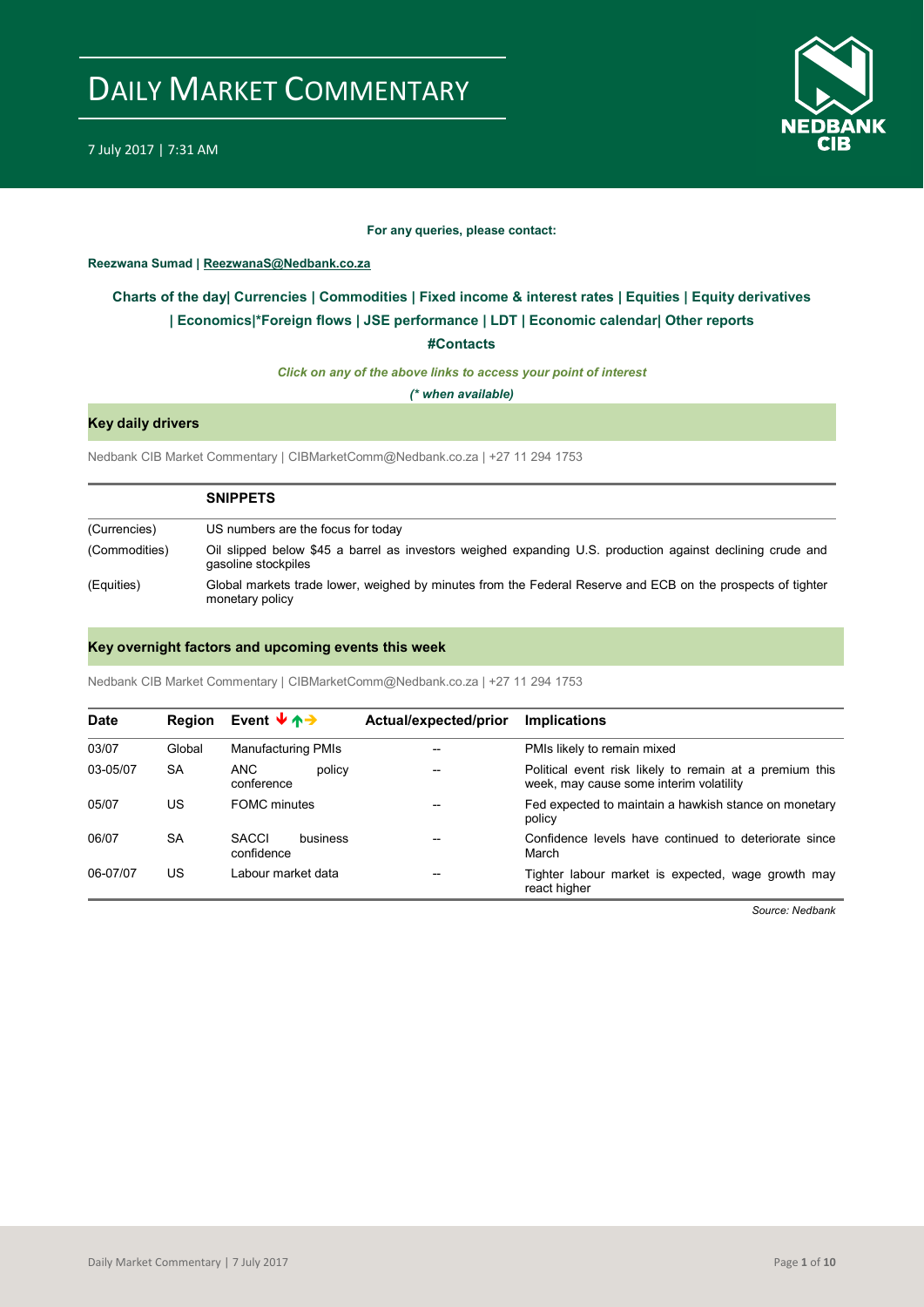

### **For any queries, please contact:**

### <span id="page-0-0"></span>**Reezwana Sumad | ReezwanaS@Nedbank.co.za**

## **Charts of the day| [Currencies](#page-2-0) [| Commodities](#page-3-0) | [Fixed income &](#page-1-0) interest rates | [Equities](#page-4-0) | Equity derivatives | Economics|\*Foreign flows [| JSE performance](#page-4-1) | [LDT](#page-5-0) | [Economic calendar|](#page-7-0) Other reports**

**[#Contacts](#page-8-0)**

*Click on any of the above links to access your point of interest*

*(\* when available)*

### **Key daily drivers**

Nedbank CIB Market Commentary | CIBMarketComm@Nedbank.co.za | +27 11 294 1753

|               | <b>SNIPPETS</b>                                                                                                                   |
|---------------|-----------------------------------------------------------------------------------------------------------------------------------|
| (Currencies)  | US numbers are the focus for today                                                                                                |
| (Commodities) | Oil slipped below \$45 a barrel as investors weighed expanding U.S. production against declining crude and<br>gasoline stockpiles |
| (Equities)    | Global markets trade lower, weighed by minutes from the Federal Reserve and ECB on the prospects of tighter<br>monetary policy    |

### **Key overnight factors and upcoming events this week**

Nedbank CIB Market Commentary | CIBMarketComm@Nedbank.co.za | +27 11 294 1753

| <b>Date</b> | <b>Region</b> | Event $\forall$ $\uparrow$ $\rightarrow$ | Actual/expected/prior | <b>Implications</b>                                                                                |
|-------------|---------------|------------------------------------------|-----------------------|----------------------------------------------------------------------------------------------------|
| 03/07       | Global        | <b>Manufacturing PMIs</b>                |                       | PMIs likely to remain mixed                                                                        |
| 03-05/07    | <b>SA</b>     | ANC.<br>policy<br>conference             |                       | Political event risk likely to remain at a premium this<br>week, may cause some interim volatility |
| 05/07       | US            | <b>FOMC</b> minutes                      |                       | Fed expected to maintain a hawkish stance on monetary<br>policy                                    |
| 06/07       | <b>SA</b>     | <b>SACCI</b><br>business<br>confidence   |                       | Confidence levels have continued to deteriorate since<br>March                                     |
| 06-07/07    | US            | Labour market data                       | --                    | Tighter labour market is expected, wage growth may<br>react higher                                 |

*Source: Nedbank*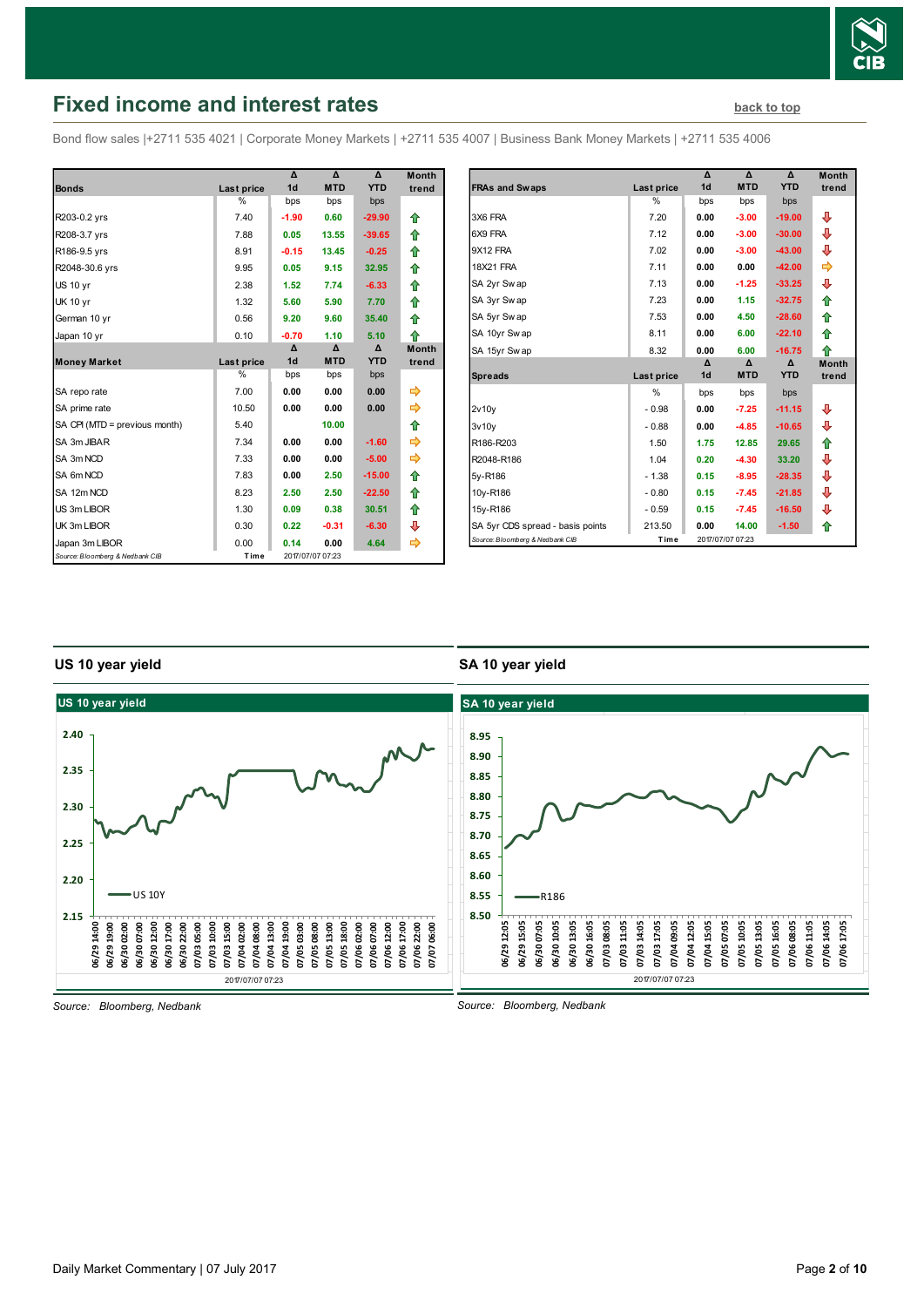

## <span id="page-1-0"></span>**Fixed income and interest rates [back to top](#page-0-0) back to top**

Bond flow sales |+2711 535 4021 | Corporate Money Markets | +2711 535 4007 | Business Bank Money Markets | +2711 535 4006

|                                 |               | Δ              | Δ                | Δ          | <b>Month</b> |
|---------------------------------|---------------|----------------|------------------|------------|--------------|
| <b>Bonds</b>                    | Last price    | 1 <sub>d</sub> | <b>MTD</b>       | <b>YTD</b> | trend        |
|                                 | %             | bps            | bps              | bps        |              |
| R203-0.2 yrs                    | 7.40          | $-1.90$        | 0.60             | $-29.90$   | ⇑            |
| R208-3.7 yrs                    | 7.88          | 0.05           | 13.55            | $-39.65$   | ⇮            |
| R186-9.5 yrs                    | 8.91          | $-0.15$        | 13.45            | $-0.25$    | ⇮            |
| R2048-30.6 yrs                  | 9.95          | 0.05           | 9.15             | 32.95      | ⇮            |
| <b>US 10 yr</b>                 | 2.38          | 1.52           | 7.74             | $-6.33$    | ♠            |
| <b>UK 10 yr</b>                 | 1.32          | 5.60           | 5.90             | 7.70       | ⇑            |
| German 10 yr                    | 0.56          | 9.20           | 9.60             | 35.40      | ⇑            |
| Japan 10 yr                     | 0.10          | $-0.70$        | 1.10             | 5.10       | ⇑            |
|                                 |               | Δ              | Δ                | Δ          | <b>Month</b> |
| <b>Money Market</b>             | Last price    | 1 <sub>d</sub> | <b>MTD</b>       | <b>YTD</b> | trend        |
|                                 | $\frac{0}{0}$ | bps            | bps              | bps        |              |
| SA repo rate                    | 7.00          | 0.00           | 0.00             | 0.00       | ⇨            |
| SA prime rate                   | 10.50         | 0.00           | 0.00             | 0.00       | ⇛            |
| SA CPI (MTD = previous month)   | 5.40          |                | 10.00            |            | ⇮            |
| SA 3m JIBAR                     | 7.34          | 0.00           | 0.00             | $-1.60$    | ⇨            |
| SA 3m NCD                       | 7.33          | 0.00           | 0.00             | $-5.00$    |              |
| SA 6m NCD                       | 7.83          | 0.00           | 2.50             | $-15.00$   | ⇮            |
| SA 12m NCD                      | 8.23          | 2.50           | 2.50             | $-22.50$   | ♠            |
| US 3m LIBOR                     | 1.30          | 0.09           | 0.38             | 30.51      | ⇮            |
| UK 3m LIBOR                     | 0.30          | 0.22           | $-0.31$          | $-6.30$    | ⊕            |
| Japan 3m LIBOR                  | 0.00          | 0.14           | 0.00             | 4.64       | ➾            |
| Source: Bloomberg & Nedbank CIB | Time          |                | 2017/07/07 07:23 |            |              |

| Month |                                  |                   | Δ              | Δ                | Δ          | <b>Month</b> |
|-------|----------------------------------|-------------------|----------------|------------------|------------|--------------|
| trend | <b>FRAs and Swaps</b>            | <b>Last price</b> | 1 <sub>d</sub> | <b>MTD</b>       | <b>YTD</b> | trend        |
|       |                                  | $\frac{0}{0}$     | bps            | bps              | bps        |              |
| ⇮     | 3X6 FRA                          | 7.20              | 0.00           | $-3.00$          | $-19.00$   | ⊕            |
| ✿     | 6X9 FRA                          | 7.12              | 0.00           | $-3.00$          | $-30.00$   | ⊕            |
| ⇮     | 9X12 FRA                         | 7.02              | 0.00           | $-3.00$          | $-43.00$   | ⊕            |
| ⇮     | <b>18X21 FRA</b>                 | 7.11              | 0.00           | 0.00             | $-42.00$   | ⇛            |
| ✿     | SA 2yr Swap                      | 7.13              | 0.00           | $-1.25$          | $-33.25$   | ⊕            |
| ⇮     | SA 3yr Swap                      | 7.23              | 0.00           | 1.15             | $-32.75$   | ⇮            |
| ✿     | SA 5yr Swap                      | 7.53              | 0.00           | 4.50             | $-28.60$   | ⇮            |
| ⇑     | SA 10yr Swap                     | 8.11              | 0.00           | 6.00             | $-22.10$   | ⇮            |
| Month | SA 15yr Sw ap                    | 8.32              | 0.00           | 6.00             | $-16.75$   | ⇑            |
| trend |                                  |                   | Δ              | $\Delta$         | Δ          | <b>Month</b> |
|       | <b>Spreads</b>                   | Last price        | 1 <sub>d</sub> | <b>MTD</b>       | <b>YTD</b> | trend        |
|       |                                  | $\frac{0}{0}$     | bps            | bps              | bps        |              |
| ⇛     | 2v10v                            | $-0.98$           | 0.00           | $-7.25$          | $-11.15$   | ⊕            |
| ✿     | 3v10v                            | $-0.88$           | 0.00           | $-4.85$          | $-10.65$   | ⊕            |
| ⇛     | R186-R203                        | 1.50              | 1.75           | 12.85            | 29.65      | ✿            |
| ⇛     | R2048-R186                       | 1.04              | 0.20           | $-4.30$          | 33.20      | ⊕            |
| ✿     | 5y-R186                          | $-1.38$           | 0.15           | $-8.95$          | $-28.35$   | ⊕            |
| ✿     | 10y-R186                         | $-0.80$           | 0.15           | $-7.45$          | $-21.85$   | ⊕            |
| ✿     | 15y-R186                         | $-0.59$           | 0.15           | $-7.45$          | $-16.50$   | ⊕            |
| ⊕     | SA 5yr CDS spread - basis points | 213.50            | 0.00           | 14.00            | $-1.50$    | ⇮            |
| ⇛     | Source: Bloomberg & Nedbank CIB  | Time              |                | 2017/07/07 07:23 |            |              |

### **US 10 year yield**

### **SA 10 year yield**



*Source: Bloomberg, Nedbank*

*Source: Bloomberg, Nedbank*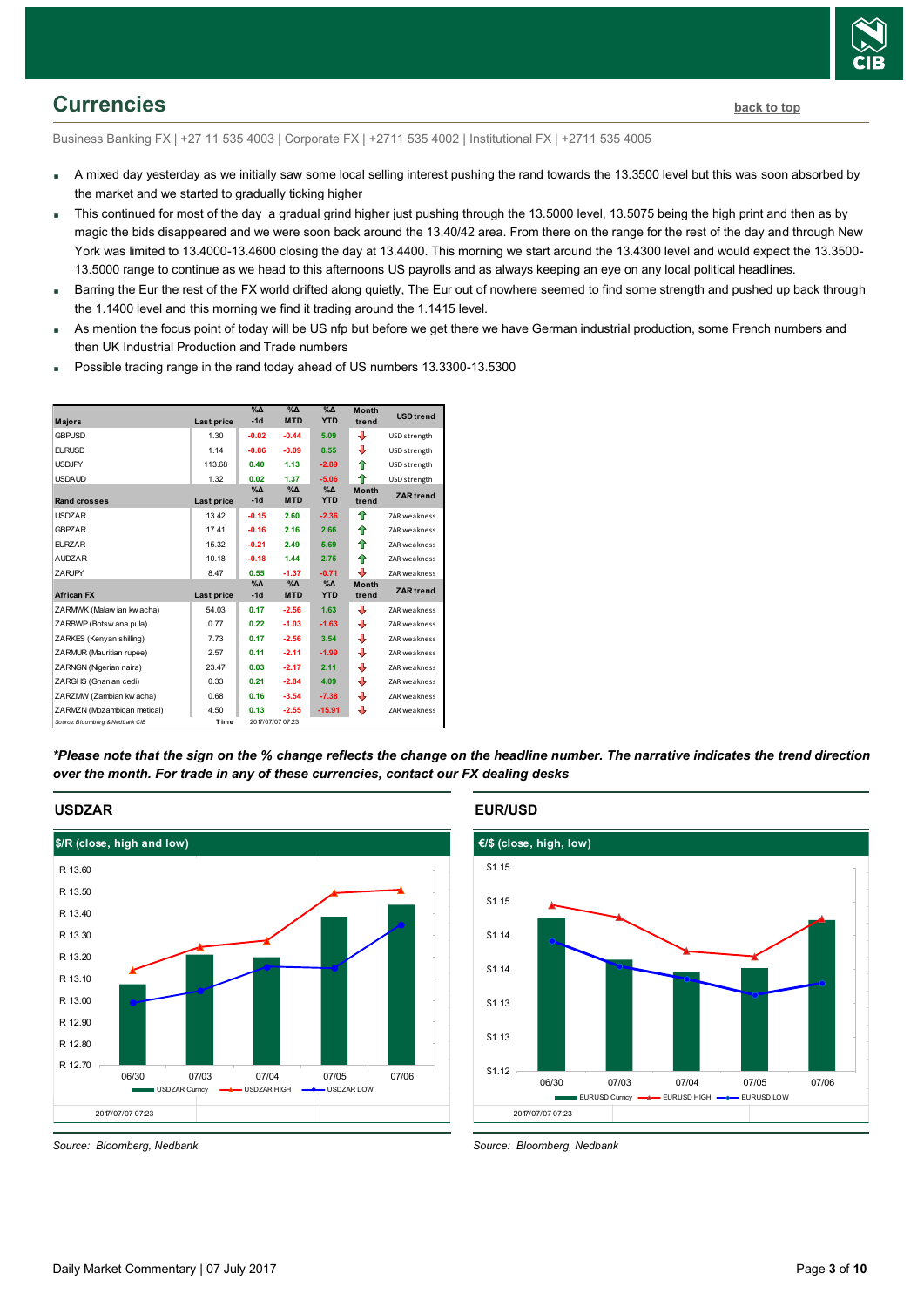

## <span id="page-2-0"></span>**Currencies [back to top](#page-0-0)**

Business Banking FX | +27 11 535 4003 | Corporate FX | +2711 535 4002 | Institutional FX | +2711 535 4005

- A mixed day yesterday as we initially saw some local selling interest pushing the rand towards the 13.3500 level but this was soon absorbed by the market and we started to gradually ticking higher
- This continued for most of the day a gradual grind higher just pushing through the 13.5000 level, 13.5075 being the high print and then as by magic the bids disappeared and we were soon back around the 13.40/42 area. From there on the range for the rest of the day and through New York was limited to 13.4000-13.4600 closing the day at 13.4400. This morning we start around the 13.4300 level and would expect the 13.3500- 13.5000 range to continue as we head to this afternoons US payrolls and as always keeping an eye on any local political headlines.
- Barring the Eur the rest of the FX world drifted along quietly, The Eur out of nowhere seemed to find some strength and pushed up back through the 1.1400 level and this morning we find it trading around the 1.1415 level.
- As mention the focus point of today will be US nfp but before we get there we have German industrial production, some French numbers and then UK Industrial Production and Trade numbers
- Possible trading range in the rand today ahead of US numbers 13.3300-13.5300



*\*Please note that the sign on the % change reflects the change on the headline number. The narrative indicates the trend direction over the month. For trade in any of these currencies, contact our FX dealing desks*



### **EUR/USD**



*Source: Bloomberg, Nedbank*

*Source: Bloomberg, Nedbank*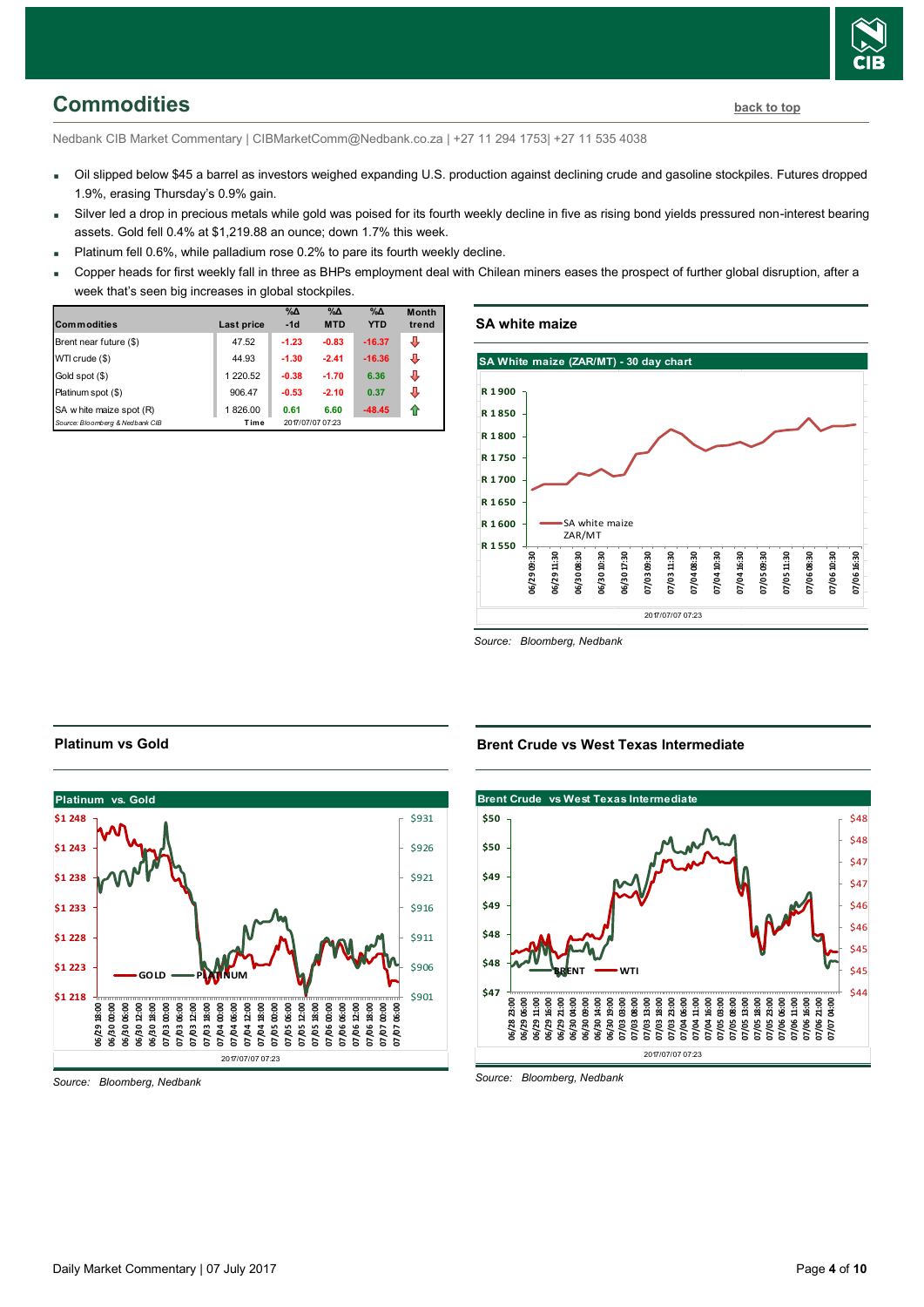## <span id="page-3-0"></span>**Commodities [back to top](#page-0-0)**

Nedbank CIB Market Commentary | CIBMarketComm@Nedbank.co.za | +27 11 294 1753| +27 11 535 4038

- Oil slipped below \$45 a barrel as investors weighed expanding U.S. production against declining crude and gasoline stockpiles. Futures dropped 1.9%, erasing Thursday's 0.9% gain.
- Silver led a drop in precious metals while gold was poised for its fourth weekly decline in five as rising bond yields pressured non-interest bearing assets. Gold fell 0.4% at \$1,219.88 an ounce; down 1.7% this week.
- Platinum fell  $0.6\%$ , while palladium rose 0.2% to pare its fourth weekly decline.
- Copper heads for first weekly fall in three as BHPs employment deal with Chilean miners eases the prospect of further global disruption, after a week that's seen big increases in global stockpiles.

| <b>Commodities</b>              | Last price | $\%$ $\Delta$<br>$-1d$ | $\%$ $\Delta$<br><b>MTD</b> | $\%$ $\Delta$<br><b>YTD</b> | <b>Month</b><br>trend |
|---------------------------------|------------|------------------------|-----------------------------|-----------------------------|-----------------------|
| Brent near future (\$)          | 47.52      | $-1.23$                | $-0.83$                     | $-16.37$                    | ⊕                     |
| WTI crude (\$)                  | 44.93      | $-1.30$                | $-2.41$                     | $-16.36$                    | л                     |
| Gold spot (\$)                  | 1 220.52   | $-0.38$                | $-1.70$                     | 6.36                        | л                     |
| Platinum spot (\$)              | 906.47     | $-0.53$                | $-2.10$                     | 0.37                        | ⊕                     |
| SA w hite maize spot (R)        | 1826.00    | 0.61                   | 6.60                        | $-48.45$                    |                       |
| Source: Bloomberg & Nedbank CIB | Time       |                        | 2017/07/07 07:23            |                             |                       |

### **SA white maize**



*Source: Bloomberg, Nedbank*

### 2017/07/07 07:23 **Platinum vs. Gold** \$901 \$906 \$911 \$916 \$921 \$926 \$931 **\$1 218 \$1 223 \$1 228 \$1 233 \$1 238 \$1 243 \$1 248 06/29 18:00 06/30 00:00 06/30 06:00 06/30 12:00 06/30 18:00 07/03 00:00 07/03 06:00 07/03 12:00 07/03 18:00 07/04 00:00 07/04 06:00 07/04 12:00 07/04 18:00 07/05 00:00 07/05 06:00 07/05 12:00 07/05 18:00 07/06 00:00 07/06 06:00 07/06 12:00 07/06 18:00 07/07 00:00 07/07 06:00 GOLD PLATINUM**

*Source: Bloomberg, Nedbank*

**Platinum vs Gold**

**Brent Crude vs West Texas Intermediate**



*Source: Bloomberg, Nedbank*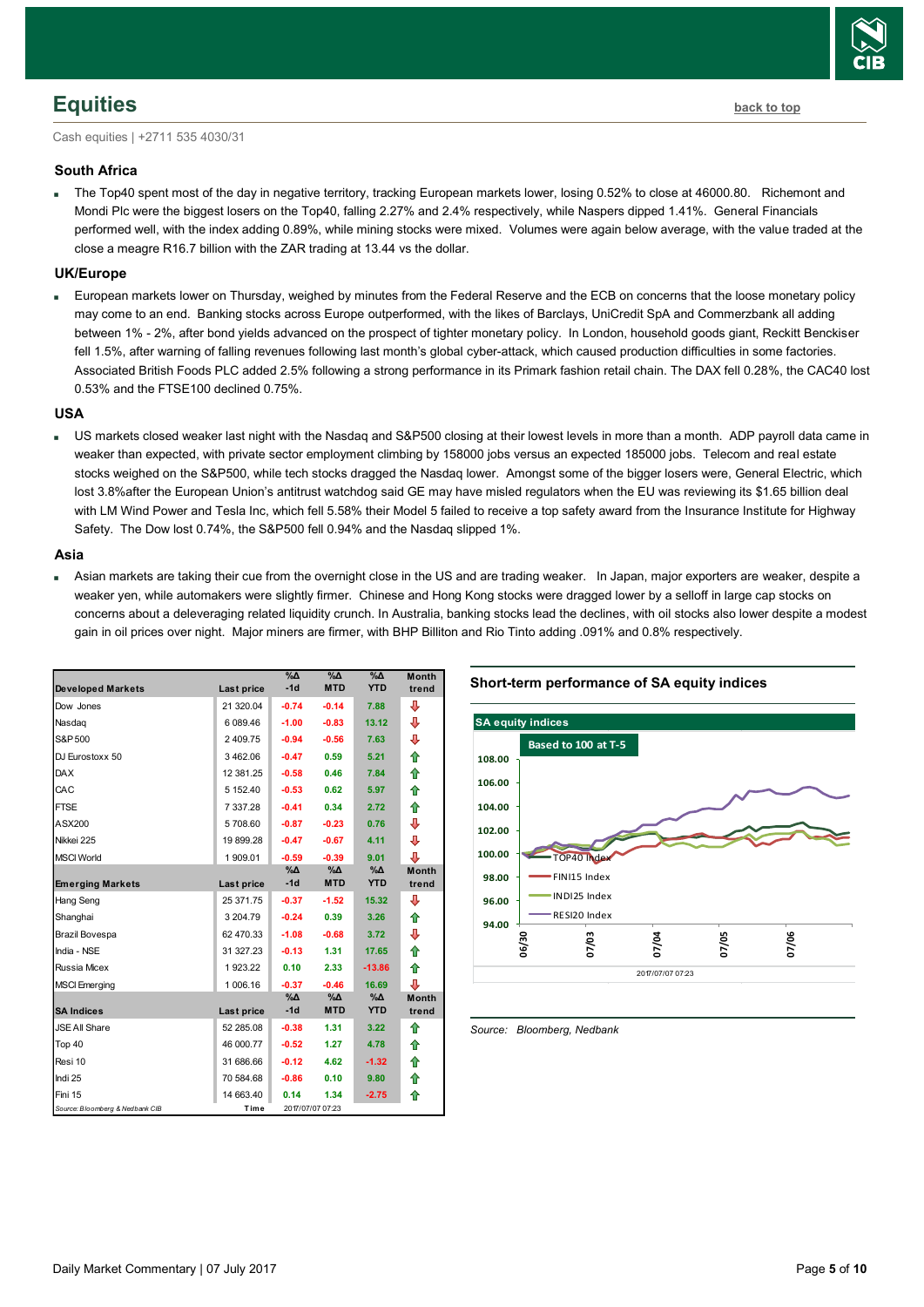## <span id="page-4-0"></span>**Equities [back to top](#page-0-0)**

Cash equities | +2711 535 4030/31

### **South Africa**

 The Top40 spent most of the day in negative territory, tracking European markets lower, losing 0.52% to close at 46000.80. Richemont and Mondi Plc were the biggest losers on the Top40, falling 2.27% and 2.4% respectively, while Naspers dipped 1.41%. General Financials performed well, with the index adding 0.89%, while mining stocks were mixed. Volumes were again below average, with the value traded at the close a meagre R16.7 billion with the ZAR trading at 13.44 vs the dollar.

### **UK/Europe**

 European markets lower on Thursday, weighed by minutes from the Federal Reserve and the ECB on concerns that the loose monetary policy may come to an end. Banking stocks across Europe outperformed, with the likes of Barclays, UniCredit SpA and Commerzbank all adding between 1% - 2%, after bond yields advanced on the prospect of tighter monetary policy. In London, household goods giant, Reckitt Benckiser fell 1.5%, after warning of falling revenues following last month's global cyber-attack, which caused production difficulties in some factories. Associated British Foods PLC added 2.5% following a strong performance in its Primark fashion retail chain. The DAX fell 0.28%, the CAC40 lost 0.53% and the FTSE100 declined 0.75%.

### **USA**

 US markets closed weaker last night with the Nasdaq and S&P500 closing at their lowest levels in more than a month. ADP payroll data came in weaker than expected, with private sector employment climbing by 158000 jobs versus an expected 185000 jobs. Telecom and real estate stocks weighed on the S&P500, while tech stocks dragged the Nasdaq lower. Amongst some of the bigger losers were, General Electric, which lost 3.8%after the European Un[ion's antitrust watchdog](http://www.marketwatch.com/story/ge-canon-merck-kgaa-accused-of-antitrust-moves-2017-07-06) said GE may have misled regulators when the EU was reviewing its \$1.65 billion deal with LM Wind Power and Tesla Inc, which fell 5.58% their Model 5 failed to receive a top safety award from the Insurance Institute for Highway Safety. The Dow lost 0.74%, the S&P500 fell 0.94% and the Nasdaq slipped 1%.

### **Asia**

 Asian markets are taking their cue from the overnight close in the US and are trading weaker. In Japan, major exporters are weaker, despite a weaker yen, while automakers were slightly firmer. Chinese and Hong Kong stocks were dragged lower by a selloff in large cap stocks on concerns about a deleveraging related liquidity crunch. In Australia, banking stocks lead the declines, with oil stocks also lower despite a modest gain in oil prices over night. Major miners are firmer, with BHP Billiton and Rio Tinto adding .091% and 0.8% respectively.

| <b>Developed Markets</b>        | Last price | $\%$ $\Delta$<br>$-1d$ | $\%$ $\Delta$<br><b>MTD</b> | $\%$ $\Delta$<br><b>YTD</b> | <b>Month</b><br>trend |
|---------------------------------|------------|------------------------|-----------------------------|-----------------------------|-----------------------|
| Dow Jones                       | 21 320.04  | $-0.74$                | $-0.14$                     | 7.88                        | ⊕                     |
| Nasdag                          | 6 089.46   | $-1.00$                | $-0.83$                     | 13.12                       | J                     |
| S&P 500                         | 2 409.75   | $-0.94$                | $-0.56$                     | 7.63                        | ⊕                     |
| DJ Eurostoxx 50                 | 3462.06    | $-0.47$                | 0.59                        | 5.21                        | ⇑                     |
| <b>DAX</b>                      | 12 381.25  | $-0.58$                | 0.46                        | 7.84                        | ⇮                     |
| CAC                             | 5 152.40   | $-0.53$                | 0.62                        | 5.97                        | ♠                     |
| <b>FTSE</b>                     | 7 337 28   | $-0.41$                | 0.34                        | 2.72                        | ⇑                     |
| ASX200                          | 5708.60    | $-0.87$                | $-0.23$                     | 0.76                        | ⊕                     |
| Nikkei 225                      | 19 899.28  | $-0.47$                | $-0.67$                     | 4.11                        | ⊕                     |
| <b>MSCI World</b>               | 1 909.01   | $-0.59$                | $-0.39$                     | 9.01                        | J                     |
|                                 |            | %Δ                     | %Д                          | $\%$ $\Delta$<br><b>YTD</b> | <b>Month</b>          |
| <b>Emerging Markets</b>         | Last price | $-1d$                  | <b>MTD</b>                  |                             | trend                 |
| Hang Seng                       | 25 371 75  | $-0.37$                | $-1.52$                     | 15.32                       | ⊕                     |
| Shanghai                        | 3 204.79   | $-0.24$                | 0.39                        | 3.26                        | ⇮                     |
| Brazil Bovespa                  | 62 470.33  | $-1.08$                | $-0.68$                     | 3.72                        | ⊕                     |
| India - NSE                     | 31 327 23  | $-0.13$                | 1.31                        | 17.65                       | ⇑                     |
| Russia Micex                    | 1923.22    | 0.10                   | 2.33                        | $-13.86$                    | ⇑                     |
| <b>MSCI Emerging</b>            | 1 006.16   | $-0.37$                | $-0.46$                     | 16.69                       | ⊕                     |
|                                 |            | %Δ                     | %Д                          | %Δ                          | <b>Month</b>          |
| <b>SA Indices</b>               | Last price | $-1d$                  | <b>MTD</b>                  | <b>YTD</b>                  | trend                 |
| <b>JSE All Share</b>            | 52 285.08  | $-0.38$                | 1.31                        | 3.22                        | ♠                     |
| Top 40                          | 46 000.77  | $-0.52$                | 1.27                        | 4.78                        | ⇑                     |
| Resi 10                         | 31 686.66  | $-0.12$                | 4.62                        | $-1.32$                     | ⇮                     |
| Indi 25                         | 70 584.68  | $-0.86$                | 0.10                        | 9.80                        | ⇮                     |
| Fini 15                         | 14 663.40  | 0.14                   | 1.34                        | $-2.75$                     | ♠                     |
| Source: Bloomberg & Nedbank CIB | Time       |                        | 2017/07/07 07:23            |                             |                       |

### **Short-term performance of SA equity indices**



<span id="page-4-1"></span>*Source: Bloomberg, Nedbank*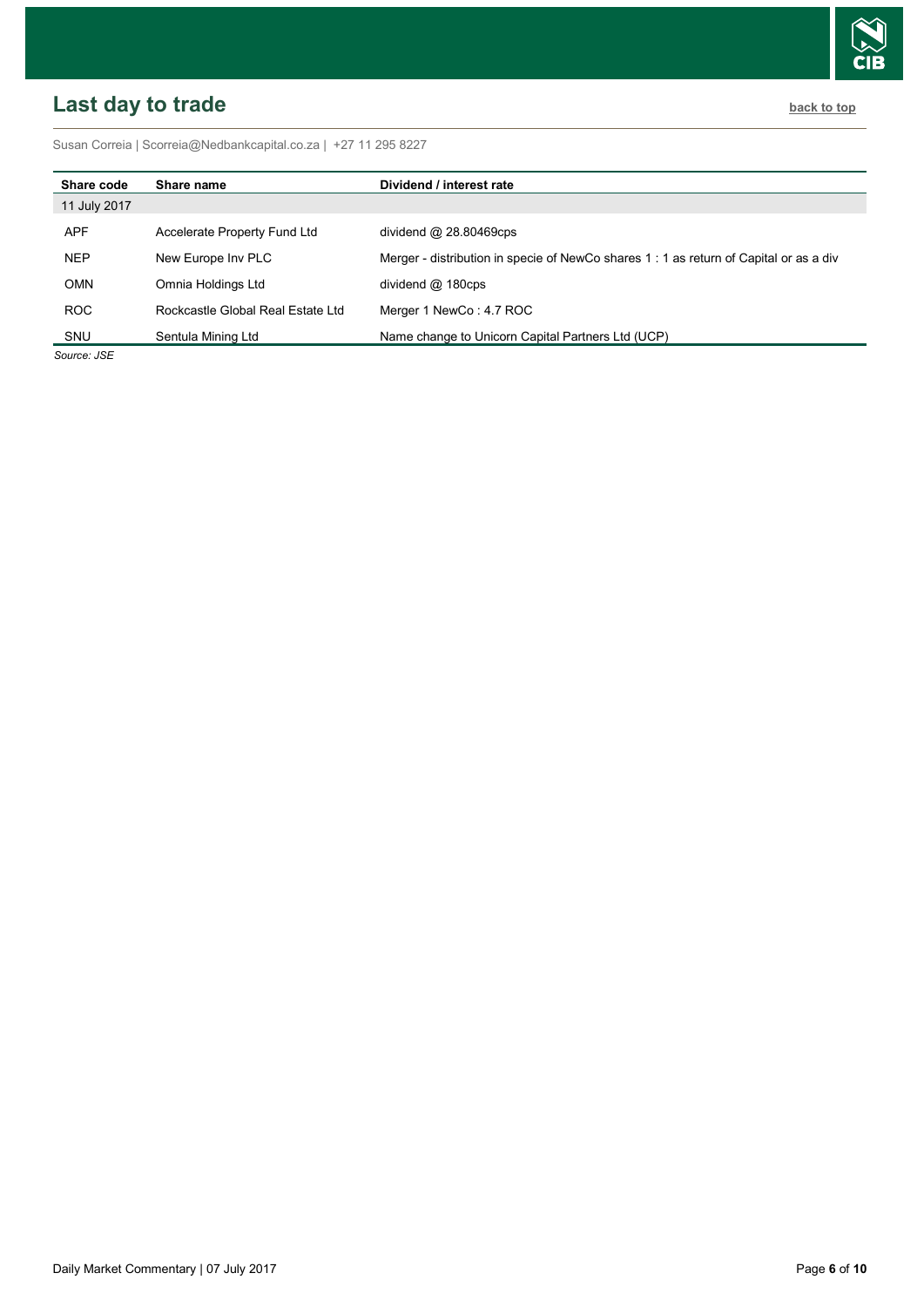# <span id="page-5-0"></span>**Last day to trade back to the contract of the contract of the contract of the contract of the contract of the contract of the contract of the contract of the contract of the contract of the contract of the contract of t**

Susan Correia [| Scorreia@Nedbankcapital.co.za](mailto:Scorreia@Nedbankcapital.co.za) | +27 11 295 8227

| Share code   | Share name                        | Dividend / interest rate                                                              |
|--------------|-----------------------------------|---------------------------------------------------------------------------------------|
| 11 July 2017 |                                   |                                                                                       |
| APF          | Accelerate Property Fund Ltd      | dividend $@$ 28.80469cps                                                              |
| <b>NEP</b>   | New Europe Inv PLC                | Merger - distribution in specie of NewCo shares 1: 1 as return of Capital or as a div |
| <b>OMN</b>   | Omnia Holdings Ltd                | dividend $@$ 180cps                                                                   |
| ROC          | Rockcastle Global Real Estate Ltd | Merger 1 NewCo: 4.7 ROC                                                               |
| SNU          | Sentula Mining Ltd                | Name change to Unicorn Capital Partners Ltd (UCP)                                     |

*Source: JSE*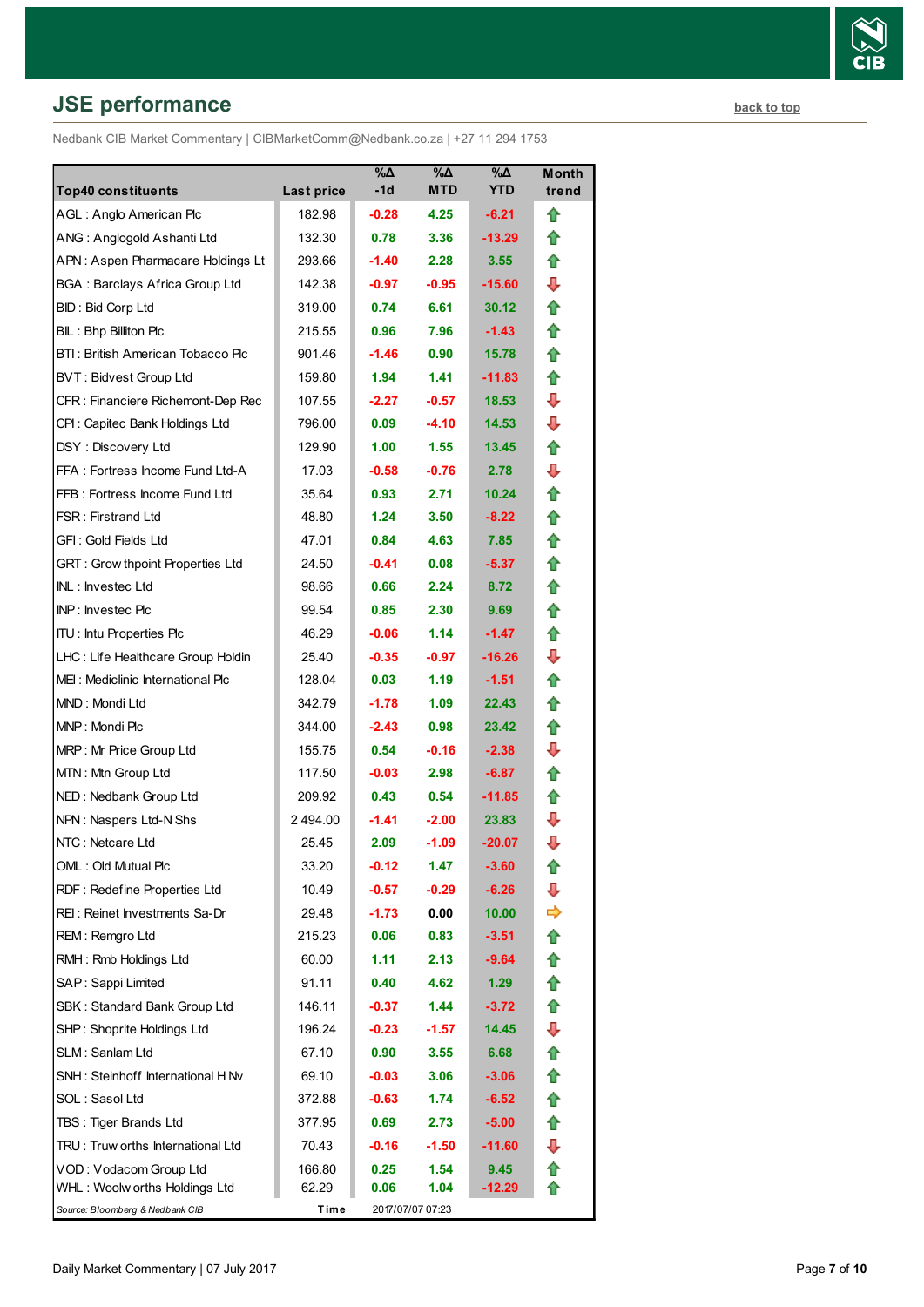## **JSE performance [back to top](#page-0-0) back to top**

Nedbank CIB Market Commentary | CIBMarketComm@Nedbank.co.za | +27 11 294 1753

| <b>Top40 constituents</b>               | <b>Last price</b> | %Δ<br>-1d         | %Δ<br><b>MTD</b> | %Δ<br><b>YTD</b> | Month<br>trend |
|-----------------------------------------|-------------------|-------------------|------------------|------------------|----------------|
| AGL: Anglo American Plc                 | 182.98            | $-0.28$           | 4.25             | $-6.21$          | ⇧              |
| ANG: Anglogold Ashanti Ltd              | 132.30            | 0.78              | 3.36             | $-13.29$         | ⇑              |
| APN: Aspen Pharmacare Holdings Lt       | 293.66            | $-1.40$           | 2.28             | 3.55             | Æ              |
| <b>BGA: Barclays Africa Group Ltd</b>   | 142.38            | $-0.97$           | $-0.95$          | $-15.60$         | ⊕              |
| BID: Bid Corp Ltd                       | 319.00            | 0.74              | 6.61             | 30.12            | ⇑              |
| BIL: Bhp Billiton Plc                   | 215.55            | 0.96              | 7.96             | $-1.43$          | ⇑              |
| BTI: British American Tobacco Plc       | 901.46            | $-1.46$           | 0.90             | 15.78            | Æ              |
| <b>BVT: Bidvest Group Ltd</b>           | 159.80            | 1.94              | 1.41             | $-11.83$         | ⇮              |
| CFR : Financiere Richemont-Dep Rec      | 107.55            | $-2.27$           | $-0.57$          | 18.53            | ⊕              |
| CPI: Capitec Bank Holdings Ltd          | 796.00            | 0.09              | $-4.10$          | 14.53            | ⊕              |
| DSY: Discovery Ltd                      | 129.90            | 1.00 <sub>1</sub> | 1.55             | 13.45            | Æ              |
| FFA: Fortress Income Fund Ltd-A         | 17.03             | $-0.58$           | $-0.76$          | 2.78             | ⊕              |
| FFB: Fortress Income Fund Ltd           | 35.64             | 0.93              | 2.71             | 10.24            | ⇑              |
| <b>FSR: Firstrand Ltd</b>               | 48.80             | 1.24              | 3.50             | $-8.22$          | ⇑              |
| GFI: Gold Fields Ltd                    | 47.01             | 0.84              | 4.63             | 7.85             | ⇑              |
| <b>GRT: Grow thpoint Properties Ltd</b> | 24.50             | $-0.41$           | 0.08             | $-5.37$          | ⇮              |
| INL: Investec Ltd                       | 98.66             | 0.66              | 2.24             | 8.72             | ⇑              |
| INP: Investec Plc                       | 99.54             | 0.85              | 2.30             | 9.69             | ⇑              |
| <b>ITU:</b> Intu Properties Plc         | 46.29             | $-0.06$           | 1.14             | $-1.47$          | ⇑              |
| LHC: Life Healthcare Group Holdin       | 25.40             | $-0.35$           | $-0.97$          | $-16.26$         | ⊕              |
| MEI: Mediclinic International Plc       | 128.04            | 0.03 <sub>1</sub> | 1.19             | $-1.51$          | ⇑              |
| MND: Mondi Ltd                          | 342.79            | $-1.78$           | 1.09             | 22.43            | ⇑              |
| MNP: Mondi Plc                          | 344.00            | $-2.43$           | 0.98             | 23.42            | Æ              |
| MRP: Mr Price Group Ltd                 | 155.75            | 0.54              | $-0.16$          | $-2.38$          | ⊕              |
| MTN: Mtn Group Ltd                      | 117.50            | $-0.03$           | 2.98             | $-6.87$          | ⇑              |
| NED: Nedbank Group Ltd                  | 209.92            | 0.43              | 0.54             | $-11.85$         | ≏              |
| NPN: Naspers Ltd-N Shs                  | 2 494.00          | $-1.41$           | $-2.00$          | 23.83            | ⊕              |
| NTC: Netcare Ltd                        | 25.45             | 2.09              | $-1.09$          | $-20.07$         | ⊕              |
| OML: Old Mutual Plc                     | 33.20             | $-0.12$           | 1.47             | $-3.60$          | t              |
| RDF: Redefine Properties Ltd            | 10.49             | $-0.57$           | $-0.29$          | $-6.26$          | J              |
| REI: Reinet Investments Sa-Dr           | 29.48             | $-1.73$           | 0.00             | 10.00            | ⇨              |
| REM: Remgro Ltd                         | 215.23            | 0.06              | 0.83             | $-3.51$          | ⇧              |
| RMH: Rmb Holdings Ltd                   | 60.00             | 1.11              | 2.13             | -9.64            | ⇑              |
| SAP: Sappi Limited                      | 91.11             | 0.40              | 4.62             | 1.29             | ⇧              |
| SBK: Standard Bank Group Ltd            | 146.11            | -0.37             | 1.44             | $-3.72$          | ⇮              |
| SHP: Shoprite Holdings Ltd              | 196.24            | $-0.23$           | $-1.57$          | 14.45            | ⊕              |
| SLM: Sanlam Ltd                         | 67.10             | 0.90              | 3.55             | 6.68             | Ħ              |
| SNH: Steinhoff International H Nv       | 69.10             | $-0.03$           | 3.06             | $-3.06$          | ✿              |
| SOL: Sasol Ltd                          | 372.88            | $-0.63$           | 1.74             | $-6.52$          | ⇧              |
| TBS: Tiger Brands Ltd                   | 377.95            | 0.69              | 2.73             | $-5.00$          | ⇧              |
| TRU: Truw orths International Ltd       | 70.43             | $-0.16$           | $-1.50$          | $-11.60$         | ⊕              |
| VOD: Vodacom Group Ltd                  | 166.80            | 0.25              | 1.54             | 9.45             | ⇧              |
| WHL: Woolw orths Holdings Ltd           | 62.29             | 0.06              | 1.04             | $-12.29$         | ⇑              |
| Source: Bloomberg & Nedbank CIB         | Time              |                   | 2017/07/07 07:23 |                  |                |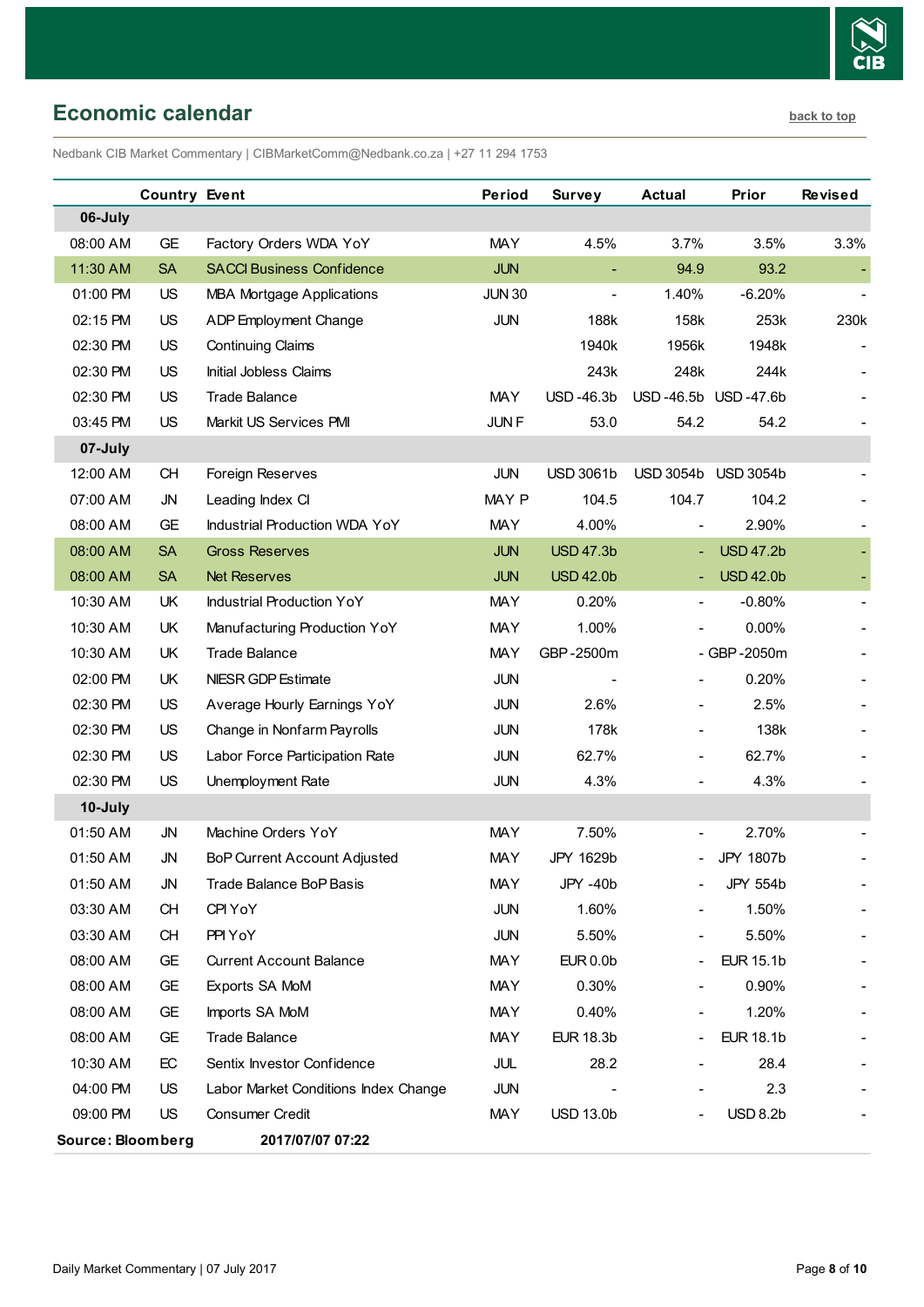

<span id="page-7-0"></span>Nedbank CIB Market Commentary | CIBMarketComm@Nedbank.co.za | +27 11 294 1753

|                   | <b>Country Event</b> |                                      | Period        | <b>Survey</b>            | <b>Actual</b>                | Prior            | <b>Revised</b> |
|-------------------|----------------------|--------------------------------------|---------------|--------------------------|------------------------------|------------------|----------------|
| 06-July           |                      |                                      |               |                          |                              |                  |                |
| 08:00 AM          | <b>GE</b>            | Factory Orders WDA YoY               | <b>MAY</b>    | 4.5%                     | 3.7%                         | 3.5%             | 3.3%           |
| 11:30 AM          | <b>SA</b>            | <b>SACCI Business Confidence</b>     | <b>JUN</b>    | $\blacksquare$           | 94.9                         | 93.2             |                |
| 01:00 PM          | US                   | <b>MBA Mortgage Applications</b>     | <b>JUN 30</b> | $\overline{\phantom{a}}$ | 1.40%                        | $-6.20%$         |                |
| 02:15 PM          | <b>US</b>            | ADP Employment Change                | <b>JUN</b>    | 188k                     | 158k                         | 253k             | 230k           |
| 02:30 PM          | <b>US</b>            | <b>Continuing Claims</b>             |               | 1940k                    | 1956k                        | 1948k            |                |
| 02:30 PM          | US                   | Initial Jobless Claims               |               | 243k                     | 248k                         | 244k             |                |
| 02:30 PM          | US                   | <b>Trade Balance</b>                 | <b>MAY</b>    | USD-46.3b                | USD-46.5b USD-47.6b          |                  |                |
| 03:45 PM          | <b>US</b>            | Markit US Services PMI               | <b>JUNF</b>   | 53.0                     | 54.2                         | 54.2             |                |
| 07-July           |                      |                                      |               |                          |                              |                  |                |
| 12:00 AM          | CH                   | Foreign Reserves                     | <b>JUN</b>    | <b>USD 3061b</b>         | <b>USD 3054b</b>             | <b>USD 3054b</b> |                |
| 07:00 AM          | JN                   | Leading Index CI                     | MAY P         | 104.5                    | 104.7                        | 104.2            |                |
| 08:00 AM          | GE                   | Industrial Production WDA YoY        | <b>MAY</b>    | 4.00%                    | $\overline{\phantom{a}}$     | 2.90%            |                |
| 08:00 AM          | <b>SA</b>            | <b>Gross Reserves</b>                | <b>JUN</b>    | <b>USD 47.3b</b>         | $\blacksquare$               | <b>USD 47.2b</b> |                |
| 08:00 AM          | <b>SA</b>            | <b>Net Reserves</b>                  | <b>JUN</b>    | <b>USD 42.0b</b>         |                              | <b>USD 42.0b</b> |                |
| 10:30 AM          | UK                   | <b>Industrial Production YoY</b>     | <b>MAY</b>    | 0.20%                    | $\overline{\phantom{a}}$     | $-0.80%$         |                |
| 10:30 AM          | UK                   | Manufacturing Production YoY         | <b>MAY</b>    | 1.00%                    |                              | $0.00\%$         |                |
| 10:30 AM          | UK                   | <b>Trade Balance</b>                 | <b>MAY</b>    | GBP-2500m                |                              | - GBP-2050m      |                |
| 02:00 PM          | UK                   | NIESR GDP Estimate                   | <b>JUN</b>    |                          | $\qquad \qquad \blacksquare$ | 0.20%            |                |
| 02:30 PM          | US                   | Average Hourly Earnings YoY          | <b>JUN</b>    | 2.6%                     | $\overline{\phantom{0}}$     | 2.5%             |                |
| 02:30 PM          | US                   | Change in Nonfarm Payrolls           | <b>JUN</b>    | 178k                     | $\overline{\phantom{0}}$     | 138k             |                |
| 02:30 PM          | US                   | Labor Force Participation Rate       | JUN           | 62.7%                    | $\overline{\phantom{0}}$     | 62.7%            |                |
| 02:30 PM          | <b>US</b>            | Unemployment Rate                    | <b>JUN</b>    | 4.3%                     |                              | 4.3%             |                |
| 10-July           |                      |                                      |               |                          |                              |                  |                |
| 01:50 AM          | <b>JN</b>            | Machine Orders YoY                   | <b>MAY</b>    | 7.50%                    |                              | 2.70%            |                |
| 01:50 AM          | <b>JN</b>            | BoP Current Account Adjusted         | <b>MAY</b>    | JPY 1629b                | $\overline{\phantom{0}}$     | <b>JPY 1807b</b> |                |
| 01:50 AM          | JN                   | Trade Balance BoP Basis              | <b>MAY</b>    | JPY -40b                 | $\overline{\phantom{0}}$     | JPY 554b         |                |
| 03:30 AM          | CH                   | CPI YoY                              | JUN           | 1.60%                    |                              | 1.50%            |                |
| 03:30 AM          | CH                   | PPI YoY                              | <b>JUN</b>    | 5.50%                    |                              | 5.50%            |                |
| 08:00 AM          | GE                   | <b>Current Account Balance</b>       | <b>MAY</b>    | EUR 0.0b                 | $\overline{\phantom{0}}$     | <b>EUR 15.1b</b> |                |
| 08:00 AM          | GE                   | Exports SA MoM                       | <b>MAY</b>    | 0.30%                    | $\overline{\phantom{a}}$     | 0.90%            |                |
| 08:00 AM          | GE                   | Imports SA MoM                       | <b>MAY</b>    | 0.40%                    |                              | 1.20%            |                |
| 08:00 AM          | <b>GE</b>            | <b>Trade Balance</b>                 | <b>MAY</b>    | <b>EUR 18.3b</b>         |                              | <b>EUR 18.1b</b> |                |
| 10:30 AM          | EC                   | Sentix Investor Confidence           | JUL           | 28.2                     |                              | 28.4             |                |
| 04:00 PM          | <b>US</b>            | Labor Market Conditions Index Change | <b>JUN</b>    |                          |                              | 2.3              |                |
| 09:00 PM          | <b>US</b>            | Consumer Credit                      | <b>MAY</b>    | <b>USD 13.0b</b>         |                              | <b>USD 8.2b</b>  |                |
| Source: Bloomberg |                      | 2017/07/07 07:22                     |               |                          |                              |                  |                |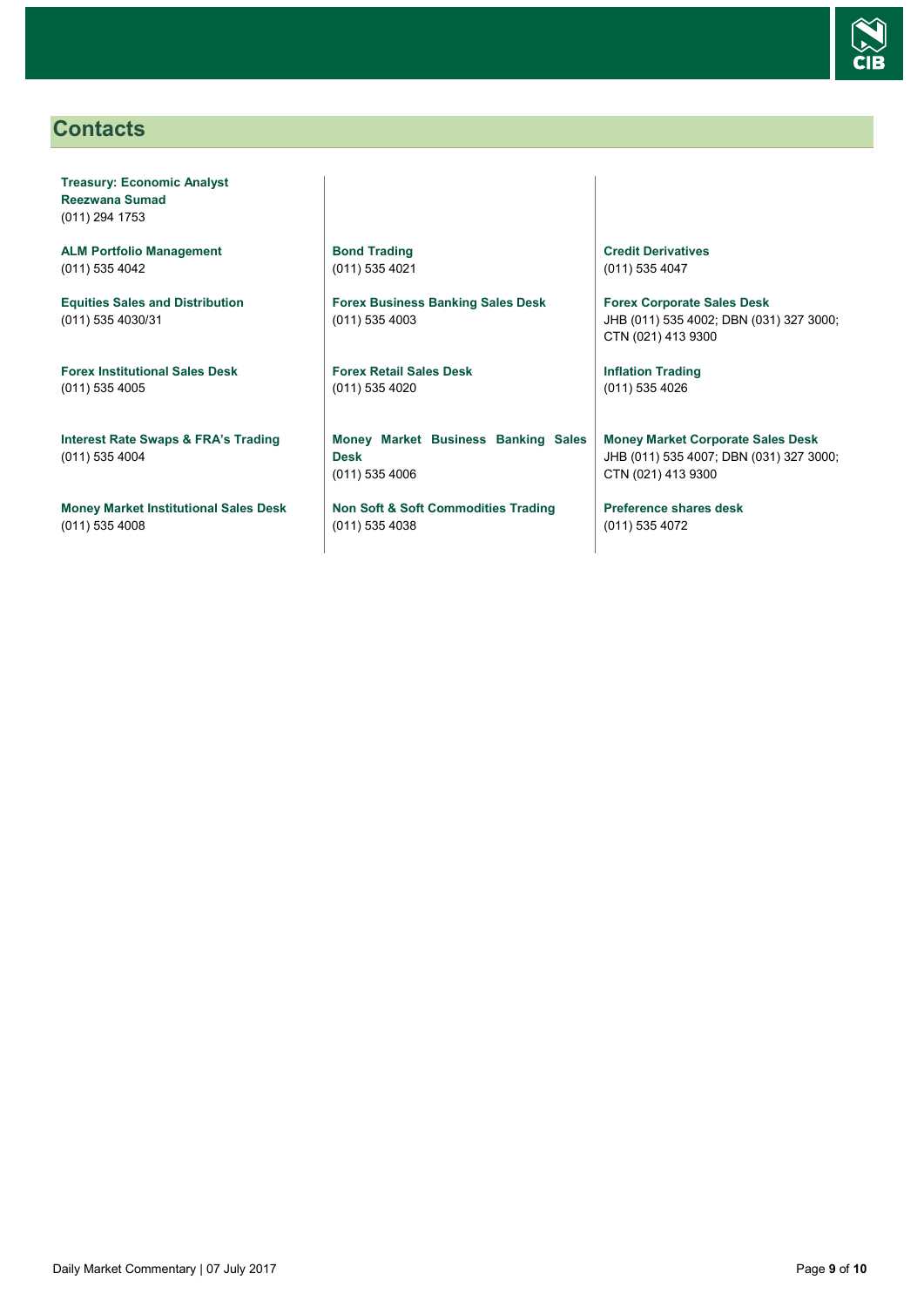

## <span id="page-8-0"></span>**Contacts**

**Treasury: Economic Analyst Reezwana Sumad** (011) 294 1753

**ALM Portfolio Management** (011) 535 4042

**Equities Sales and Distribution** (011) 535 4030/31

**Forex Institutional Sales Desk** (011) 535 4005

**Interest Rate Swaps & FRA's Trading** (011) 535 4004

**Money Market Institutional Sales Desk** (011) 535 4008

**Bond Trading** (011) 535 4021

**Forex Business Banking Sales Desk** (011) 535 4003

**Forex Retail Sales Desk** (011) 535 4020

**Money Market Business Banking Sales Desk** (011) 535 4006

**Non Soft & Soft Commodities Trading** (011) 535 4038

**Credit Derivatives**  (011) 535 4047

**Forex Corporate Sales Desk** JHB (011) 535 4002; DBN (031) 327 3000; CTN (021) 413 9300

**Inflation Trading** (011) 535 4026

**Money Market Corporate Sales Desk** JHB (011) 535 4007; DBN (031) 327 3000; CTN (021) 413 9300

**Preference shares desk** (011) 535 4072